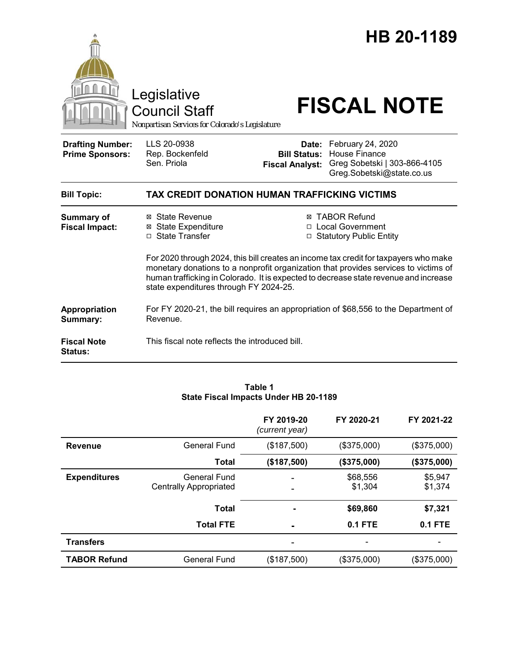|                                                   | Legislative<br><b>Council Staff</b><br>Nonpartisan Services for Colorado's Legislature                                                                                                                                                                                                                        |                                                        | HB 20-1189<br><b>FISCAL NOTE</b>                                                                       |  |  |
|---------------------------------------------------|---------------------------------------------------------------------------------------------------------------------------------------------------------------------------------------------------------------------------------------------------------------------------------------------------------------|--------------------------------------------------------|--------------------------------------------------------------------------------------------------------|--|--|
| <b>Drafting Number:</b><br><b>Prime Sponsors:</b> | LLS 20-0938<br>Rep. Bockenfeld<br>Sen. Priola                                                                                                                                                                                                                                                                 | Date:<br><b>Bill Status:</b><br><b>Fiscal Analyst:</b> | February 24, 2020<br><b>House Finance</b><br>Greg Sobetski   303-866-4105<br>Greg.Sobetski@state.co.us |  |  |
| <b>Bill Topic:</b>                                | TAX CREDIT DONATION HUMAN TRAFFICKING VICTIMS                                                                                                                                                                                                                                                                 |                                                        |                                                                                                        |  |  |
| <b>Summary of</b><br><b>Fiscal Impact:</b>        | ⊠ State Revenue<br>⊠ State Expenditure<br>□ State Transfer                                                                                                                                                                                                                                                    |                                                        | <b>⊠ TABOR Refund</b><br>□ Local Government<br>□ Statutory Public Entity                               |  |  |
|                                                   | For 2020 through 2024, this bill creates an income tax credit for taxpayers who make<br>monetary donations to a nonprofit organization that provides services to victims of<br>human trafficking in Colorado. It is expected to decrease state revenue and increase<br>state expenditures through FY 2024-25. |                                                        |                                                                                                        |  |  |
| Appropriation<br>Summary:                         | For FY 2020-21, the bill requires an appropriation of \$68,556 to the Department of<br>Revenue.                                                                                                                                                                                                               |                                                        |                                                                                                        |  |  |
| <b>Fiscal Note</b><br><b>Status:</b>              | This fiscal note reflects the introduced bill.                                                                                                                                                                                                                                                                |                                                        |                                                                                                        |  |  |

#### **Table 1 State Fiscal Impacts Under HB 20-1189**

|                     |                                               | FY 2019-20<br>(current year) | FY 2020-21          | FY 2021-22         |
|---------------------|-----------------------------------------------|------------------------------|---------------------|--------------------|
| <b>Revenue</b>      | <b>General Fund</b>                           | (\$187,500)                  | (\$375,000)         | (\$375,000)        |
|                     | <b>Total</b>                                  | (\$187,500)                  | (\$375,000)         | (\$375,000)        |
| <b>Expenditures</b> | General Fund<br><b>Centrally Appropriated</b> |                              | \$68,556<br>\$1,304 | \$5,947<br>\$1,374 |
|                     | <b>Total</b>                                  |                              | \$69,860            | \$7,321            |
|                     | <b>Total FTE</b>                              |                              | <b>0.1 FTE</b>      | <b>0.1 FTE</b>     |
| <b>Transfers</b>    |                                               |                              |                     |                    |
| <b>TABOR Refund</b> | <b>General Fund</b>                           | (\$187,500)                  | (\$375,000)         | (\$375,000)        |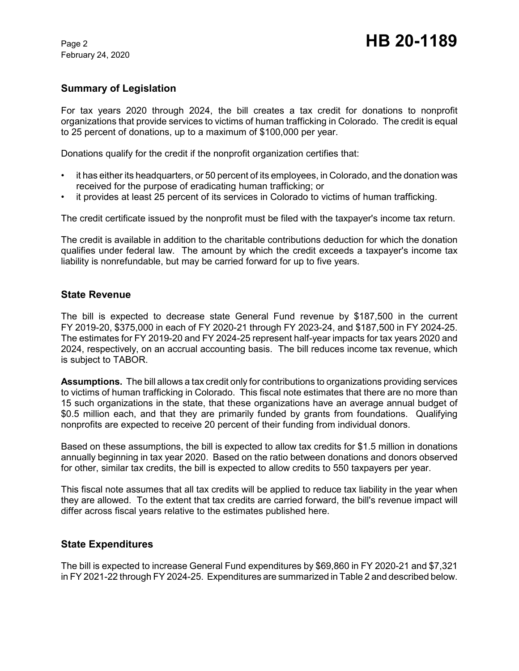February 24, 2020

# **Summary of Legislation**

For tax years 2020 through 2024, the bill creates a tax credit for donations to nonprofit organizations that provide services to victims of human trafficking in Colorado. The credit is equal to 25 percent of donations, up to a maximum of \$100,000 per year.

Donations qualify for the credit if the nonprofit organization certifies that:

- it has either its headquarters, or 50 percent of its employees, in Colorado, and the donation was received for the purpose of eradicating human trafficking; or
- it provides at least 25 percent of its services in Colorado to victims of human trafficking.

The credit certificate issued by the nonprofit must be filed with the taxpayer's income tax return.

The credit is available in addition to the charitable contributions deduction for which the donation qualifies under federal law. The amount by which the credit exceeds a taxpayer's income tax liability is nonrefundable, but may be carried forward for up to five years.

#### **State Revenue**

The bill is expected to decrease state General Fund revenue by \$187,500 in the current FY 2019-20, \$375,000 in each of FY 2020-21 through FY 2023-24, and \$187,500 in FY 2024-25. The estimates for FY 2019-20 and FY 2024-25 represent half-year impacts for tax years 2020 and 2024, respectively, on an accrual accounting basis. The bill reduces income tax revenue, which is subject to TABOR.

**Assumptions.** The bill allows a tax credit only for contributions to organizations providing services to victims of human trafficking in Colorado. This fiscal note estimates that there are no more than 15 such organizations in the state, that these organizations have an average annual budget of \$0.5 million each, and that they are primarily funded by grants from foundations. Qualifying nonprofits are expected to receive 20 percent of their funding from individual donors.

Based on these assumptions, the bill is expected to allow tax credits for \$1.5 million in donations annually beginning in tax year 2020. Based on the ratio between donations and donors observed for other, similar tax credits, the bill is expected to allow credits to 550 taxpayers per year.

This fiscal note assumes that all tax credits will be applied to reduce tax liability in the year when they are allowed. To the extent that tax credits are carried forward, the bill's revenue impact will differ across fiscal years relative to the estimates published here.

### **State Expenditures**

The bill is expected to increase General Fund expenditures by \$69,860 in FY 2020-21 and \$7,321 in FY 2021-22 through FY 2024-25. Expenditures are summarized in Table 2 and described below.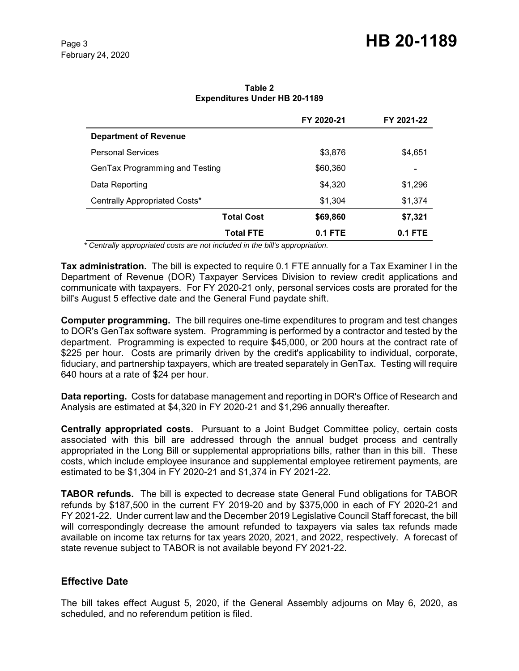|                                | FY 2020-21 | FY 2021-22 |
|--------------------------------|------------|------------|
| <b>Department of Revenue</b>   |            |            |
| <b>Personal Services</b>       | \$3,876    | \$4,651    |
| GenTax Programming and Testing | \$60,360   | ۰          |
| Data Reporting                 | \$4,320    | \$1,296    |
| Centrally Appropriated Costs*  | \$1,304    | \$1,374    |
| <b>Total Cost</b>              | \$69,860   | \$7,321    |
| <b>Total FTE</b>               | $0.1$ FTE  | 0.1 FTE    |

**Table 2 Expenditures Under HB 20-1189**

 *\* Centrally appropriated costs are not included in the bill's appropriation.*

**Tax administration.** The bill is expected to require 0.1 FTE annually for a Tax Examiner I in the Department of Revenue (DOR) Taxpayer Services Division to review credit applications and communicate with taxpayers. For FY 2020-21 only, personal services costs are prorated for the bill's August 5 effective date and the General Fund paydate shift.

**Computer programming.** The bill requires one-time expenditures to program and test changes to DOR's GenTax software system. Programming is performed by a contractor and tested by the department. Programming is expected to require \$45,000, or 200 hours at the contract rate of \$225 per hour. Costs are primarily driven by the credit's applicability to individual, corporate, fiduciary, and partnership taxpayers, which are treated separately in GenTax. Testing will require 640 hours at a rate of \$24 per hour.

**Data reporting.** Costs for database management and reporting in DOR's Office of Research and Analysis are estimated at \$4,320 in FY 2020-21 and \$1,296 annually thereafter.

**Centrally appropriated costs.** Pursuant to a Joint Budget Committee policy, certain costs associated with this bill are addressed through the annual budget process and centrally appropriated in the Long Bill or supplemental appropriations bills, rather than in this bill. These costs, which include employee insurance and supplemental employee retirement payments, are estimated to be \$1,304 in FY 2020-21 and \$1,374 in FY 2021-22.

**TABOR refunds.** The bill is expected to decrease state General Fund obligations for TABOR refunds by \$187,500 in the current FY 2019-20 and by \$375,000 in each of FY 2020-21 and FY 2021-22. Under current law and the December 2019 Legislative Council Staff forecast, the bill will correspondingly decrease the amount refunded to taxpayers via sales tax refunds made available on income tax returns for tax years 2020, 2021, and 2022, respectively. A forecast of state revenue subject to TABOR is not available beyond FY 2021-22.

### **Effective Date**

The bill takes effect August 5, 2020, if the General Assembly adjourns on May 6, 2020, as scheduled, and no referendum petition is filed.